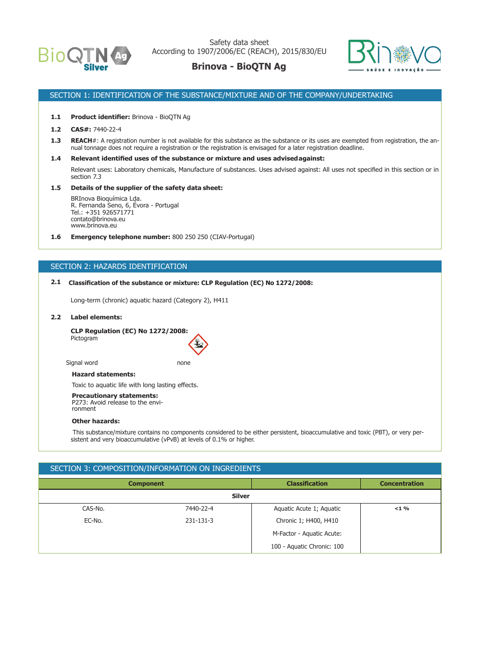

Safety data sheet According to 1907/2006/EC (REACH), 2015/830/EU

## **Brinova - BioQTN Ag**



### SECTION 1: IDENTIFICATION OF THE SUBSTANCE/MIXTURE AND OF THE COMPANY/UNDERTAKING

#### **1.1 Product identifier:** Brinova - BioQTN Ag

- **1.2 CAS#:** 7440-22-4
- 1.3 **REACH**#: A registration number is not available for this substance as the substance or its uses are exempted from registration, the annual tonnage does not require a registration or the registration is envisaged for a later registration deadline.
- **1.4 Relevant identified uses of the substance or mixture and uses advised against:**

Relevant uses: Laboratory chemicals, Manufacture of substances. Uses advised against: All uses not specified in this section or in section 7.3

#### **1.5 Details of the supplier of the safety data sheet:**

BRInova Bioquímica Lda. R. Fernanda Seno, 6, Évora - Portugal Tel.: +351 926571771 contato@brinova.eu www.brinova.eu

**1.6 Emergency telephone number:** 800 250 250 (CIAV-Portugal)

### SECTION 2: HAZARDS IDENTIFICATION

#### **2.1 Classification of the substance or mixture: CLP Regulation (EC) No 1272/2008:**

Long-term (chronic) aquatic hazard (Category 2), H411

#### **2.2 Label elements:**

**CLP Regulation (EC) No 1272/2008:** Pictogram

Signal word none

#### **Hazard statements:**

Toxic to aquatic life with long lasting effects.

#### **Precautionary statements:**

P273: Avoid release to the environment

#### **Other hazards:**

 This substance/mixture contains no components considered to be either persistent, bioaccumulative and toxic (PBT), or very persistent and very bioaccumulative (vPvB) at levels of 0.1% or higher.

### SECTION 3: COMPOSITION/INFORMATION ON INGREDIENTS

| <b>Component</b> |           | <b>Classification</b>      | <b>Concentration</b> |  |  |
|------------------|-----------|----------------------------|----------------------|--|--|
| <b>Silver</b>    |           |                            |                      |  |  |
| CAS-No.          | 7440-22-4 | Aquatic Acute 1; Aquatic   | $<$ 1 %              |  |  |
| EC-No.           | 231-131-3 | Chronic 1; H400, H410      |                      |  |  |
|                  |           | M-Factor - Aquatic Acute:  |                      |  |  |
|                  |           | 100 - Aquatic Chronic: 100 |                      |  |  |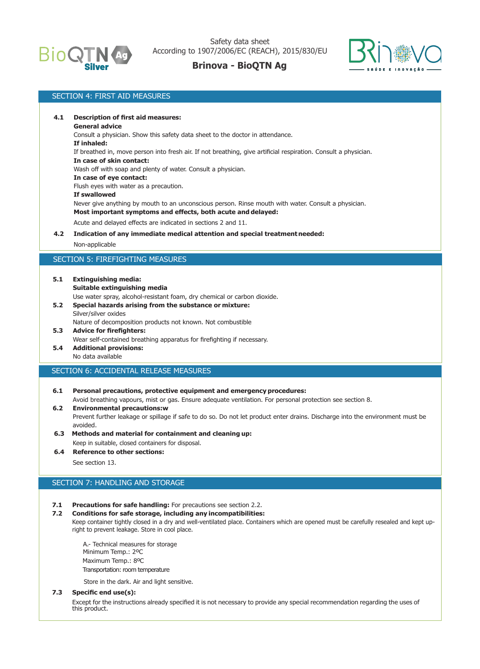



## SECTION 4: FIRST AID MEASURES **4.1 Description of first aid measures: General advice** Consult a physician. Show this safety data sheet to the doctor in attendance. **If inhaled:** If breathed in, move person into fresh air. If not breathing, give artificial respiration. Consult a physician. **In case of skin contact:** Wash off with soap and plenty of water. Consult a physician. **In case of eye contact:** Flush eyes with water as a precaution. **If swallowed** Never give anything by mouth to an unconscious person. Rinse mouth with water. Consult a physician. **Most important symptoms and effects, both acute and delayed:** Acute and delayed effects are indicated in sections 2 and 11. **4.2 Indication of any immediate medical attention and special treatment needed:** Non-applicable SECTION 5: FIREFIGHTING MEASURES

- **5.1 Extinguishing media:**
	- **Suitable extinguishing media**

Use water spray, alcohol-resistant foam, dry chemical or carbon dioxide.

**5.2 Special hazards arising from the substance or mixture:** Silver/silver oxides

Nature of decomposition products not known. Not combustible **5.3 Advice for firefighters:**

- Wear self-contained breathing apparatus for firefighting if necessary.
- **5.4 Additional provisions:** No data available

### SECTION 6: ACCIDENTAL RELEASE MEASURES

- **6.1 Personal precautions, protective equipment and emergency procedures:** Avoid breathing vapours, mist or gas. Ensure adequate ventilation. For personal protection see section 8.
- **6.2 Environmental precautions:w** Prevent further leakage or spillage if safe to do so. Do not let product enter drains. Discharge into the environment must be avoided.
- **6.3 Methods and material for containment and cleaning up:** Keep in suitable, closed containers for disposal.
- **6.4 Reference to other sections:**

See section 13.

### SECTION 7: HANDLING AND STORAGE

### **7.1 Precautions for safe handling:** For precautions see section 2.2.

### **7.2 Conditions for safe storage, including any incompatibilities:**

Keep container tightly closed in a dry and well-ventilated place. Containers which are opened must be carefully resealed and kept upright to prevent leakage. Store in cool place.

 A.- Technical measures for storage Minimum Temp.: 2ºC Maximum Temp.: 8ºC Transportation: room temperature

Store in the dark. Air and light sensitive.

#### **7.3 Specific end use(s):**

Except for the instructions already specified it is not necessary to provide any special recommendation regarding the uses of this product.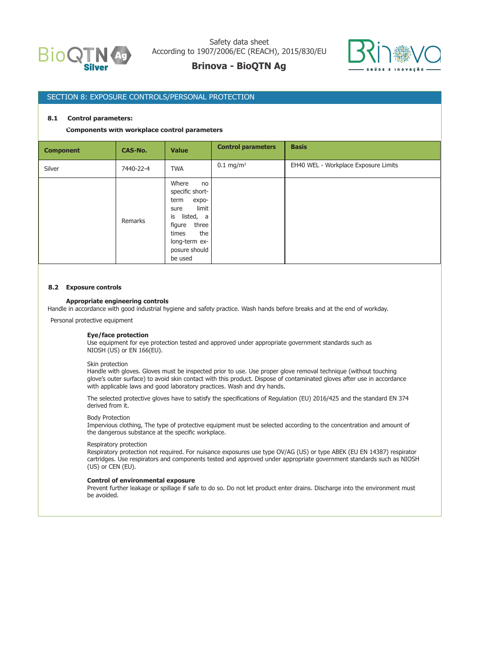



### SECTION 8: EXPOSURE CONTROLS/PERSONAL PROTECTION

#### **8.1 Control parameters:**

## Components with workplace control parameters

| <b>Component</b> | <b>CAS-No.</b> | <b>Value</b>                                                                                                                                                        | <b>Control parameters</b> | <b>Basis</b>                         |
|------------------|----------------|---------------------------------------------------------------------------------------------------------------------------------------------------------------------|---------------------------|--------------------------------------|
| Silver           | 7440-22-4      | <b>TWA</b>                                                                                                                                                          | $0.1 \text{ mg/m}^3$      | EH40 WEL - Workplace Exposure Limits |
|                  | Remarks        | Where<br>no<br>specific short-<br>term<br>expo-<br>limit<br>sure<br>listed, a<br>is<br>three<br>figure<br>the<br>times<br>long-term ex-<br>posure should<br>be used |                           |                                      |

#### **8.2 Exposure controls**

#### **Appropriate engineering controls**

Handle in accordance with good industrial hygiene and safety practice. Wash hands before breaks and at the end of workday.

Personal protective equipment

#### **Eye/face protection**

Use equipment for eye protection tested and approved under appropriate government standards such as NIOSH (US) or EN 166(EU).

#### Skin protection

Handle with gloves. Gloves must be inspected prior to use. Use proper glove removal technique (without touching glove's outer surface) to avoid skin contact with this product. Dispose of contaminated gloves after use in accordance with applicable laws and good laboratory practices. Wash and dry hands.

The selected protective gloves have to satisfy the specifications of Regulation (EU) 2016/425 and the standard EN 374 derived from it.

#### Body Protection

Impervious clothing, The type of protective equipment must be selected according to the concentration and amount of the dangerous substance at the specific workplace.

#### Respiratory protection

Respiratory protection not required. For nuisance exposures use type OV/AG (US) or type ABEK (EU EN 14387) respirator cartridges. Use respirators and components tested and approved under appropriate government standards such as NIOSH (US) or CEN (EU).

#### **Control of environmental exposure**

Prevent further leakage or spillage if safe to do so. Do not let product enter drains. Discharge into the environment must be avoided.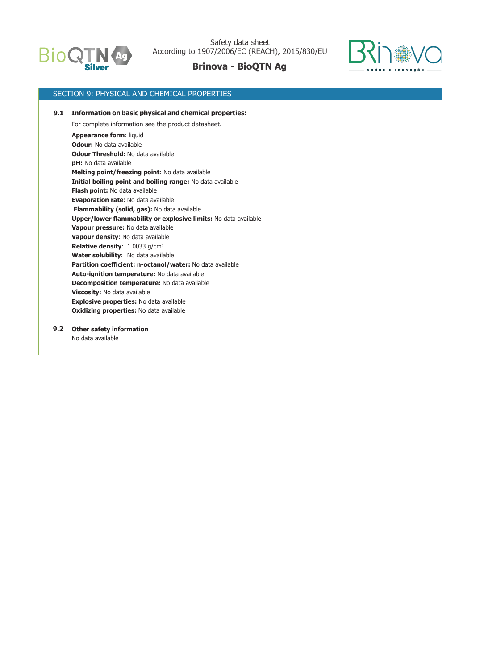



### SECTION 9: PHYSICAL AND CHEMICAL PROPERTIES

**Appearance form**: liquid **Odour:** No data available **Odour Threshold:** No data available **pH:** No data available **Melting point/freezing point**: No data available **Initial boiling point and boiling range:** No data available **Flash point:** No data available **Evaporation rate**: No data available **Flammability (solid, gas):** No data available **Upper/lower flammability or explosive limits:** No data available **Vapour pressure:** No data available **Vapour density**: No data available **Relative density**: 1.0033 g/cm<sup>3</sup> **Water solubility**: No data available **Partition coefficient: n-octanol/water:** No data available **Auto-ignition temperature:** No data available **Decomposition temperature:** No data available **Viscosity:** No data available **Explosive properties:** No data available **Oxidizing properties:** No data available  **9.1 Information on basic physical and chemical properties:** For complete information see the product datasheet.

**Other safety information 9.2** No data available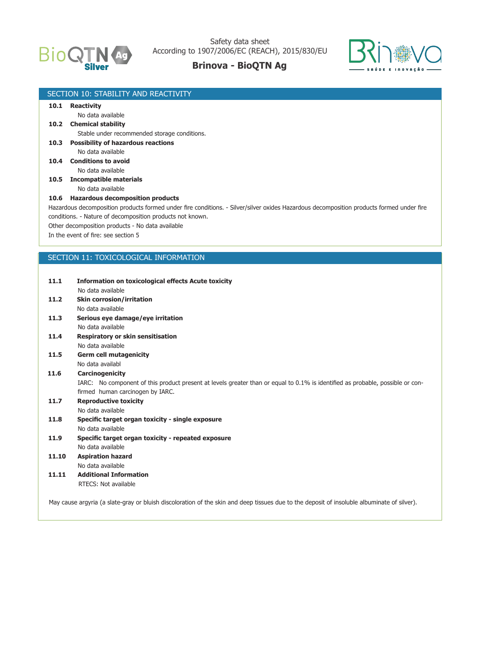



|                                       | SECTION 10: STABILITY AND REACTIVITY                                                                                                        |  |  |  |  |
|---------------------------------------|---------------------------------------------------------------------------------------------------------------------------------------------|--|--|--|--|
|                                       | 10.1 Reactivity                                                                                                                             |  |  |  |  |
|                                       | No data available                                                                                                                           |  |  |  |  |
|                                       | 10.2 Chemical stability                                                                                                                     |  |  |  |  |
|                                       | Stable under recommended storage conditions.                                                                                                |  |  |  |  |
| 10.3                                  | <b>Possibility of hazardous reactions</b>                                                                                                   |  |  |  |  |
|                                       | No data available                                                                                                                           |  |  |  |  |
|                                       | 10.4 Conditions to avoid                                                                                                                    |  |  |  |  |
|                                       | No data available                                                                                                                           |  |  |  |  |
| <b>Incompatible materials</b><br>10.5 |                                                                                                                                             |  |  |  |  |
|                                       | No data available                                                                                                                           |  |  |  |  |
|                                       | 10.6 Hazardous decomposition products                                                                                                       |  |  |  |  |
|                                       | Hazardous decomposition products formed under fire conditions. - Silver/silver oxides Hazardous decomposition products formed under fire    |  |  |  |  |
|                                       | conditions. - Nature of decomposition products not known.                                                                                   |  |  |  |  |
|                                       | Other decomposition products - No data available<br>In the event of fire: see section 5                                                     |  |  |  |  |
|                                       |                                                                                                                                             |  |  |  |  |
|                                       |                                                                                                                                             |  |  |  |  |
|                                       | SECTION 11: TOXICOLOGICAL INFORMATION                                                                                                       |  |  |  |  |
|                                       |                                                                                                                                             |  |  |  |  |
| 11.1                                  | <b>Information on toxicological effects Acute toxicity</b>                                                                                  |  |  |  |  |
|                                       | No data available                                                                                                                           |  |  |  |  |
| 11.2                                  | <b>Skin corrosion/irritation</b>                                                                                                            |  |  |  |  |
|                                       | No data available                                                                                                                           |  |  |  |  |
| 11.3                                  | Serious eye damage/eye irritation                                                                                                           |  |  |  |  |
|                                       | No data available                                                                                                                           |  |  |  |  |
| 11.4                                  | Respiratory or skin sensitisation                                                                                                           |  |  |  |  |
|                                       | No data available                                                                                                                           |  |  |  |  |
| 11.5                                  | <b>Germ cell mutagenicity</b>                                                                                                               |  |  |  |  |
|                                       | No data availabl                                                                                                                            |  |  |  |  |
| 11.6                                  | Carcinogenicity                                                                                                                             |  |  |  |  |
|                                       | IARC: No component of this product present at levels greater than or equal to 0.1% is identified as probable, possible or con-              |  |  |  |  |
|                                       | firmed human carcinogen by IARC.                                                                                                            |  |  |  |  |
| 11.7                                  | <b>Reproductive toxicity</b>                                                                                                                |  |  |  |  |
|                                       | No data available                                                                                                                           |  |  |  |  |
| 11.8                                  | Specific target organ toxicity - single exposure                                                                                            |  |  |  |  |
|                                       | No data available                                                                                                                           |  |  |  |  |
| 11.9                                  | Specific target organ toxicity - repeated exposure                                                                                          |  |  |  |  |
|                                       | No data available                                                                                                                           |  |  |  |  |
| 11.10                                 | <b>Aspiration hazard</b>                                                                                                                    |  |  |  |  |
|                                       | No data available                                                                                                                           |  |  |  |  |
| 11.11                                 | <b>Additional Information</b>                                                                                                               |  |  |  |  |
|                                       | RTECS: Not available                                                                                                                        |  |  |  |  |
|                                       |                                                                                                                                             |  |  |  |  |
|                                       | May cause argyria (a slate-gray or bluish discoloration of the skin and deep tissues due to the deposit of insoluble albuminate of silver). |  |  |  |  |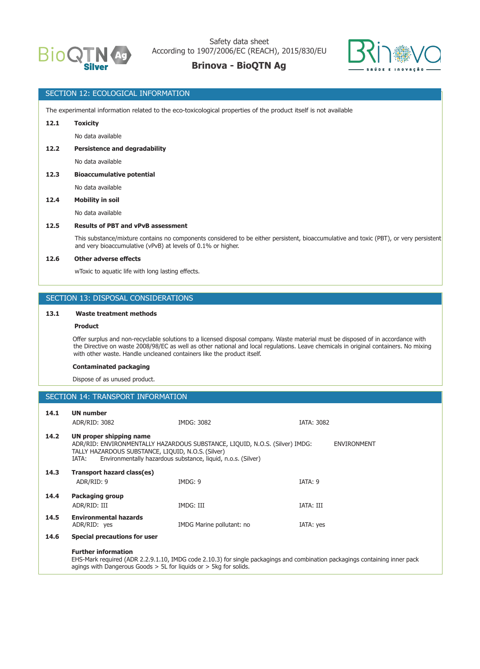

Safety data sheet According to 1907/2006/EC (REACH), 2015/830/EU

## **Brinova - BioQTN Ag**



### SECTION 12: ECOLOGICAL INFORMATION

The experimental information related to the eco-toxicological properties of the product itself is not available

### **12.1 Toxicity**

No data available

 **12.2 Persistence and degradability**

No data available

#### **12.3 Bioaccumulative potential**

No data available

#### **12.4 Mobility in soil**

No data available

#### **12.5 Results of PBT and vPvB assessment**

 This substance/mixture contains no components considered to be either persistent, bioaccumulative and toxic (PBT), or very persistent and very bioaccumulative (vPvB) at levels of 0.1% or higher.

#### **12.6 Other adverse effects**

wToxic to aquatic life with long lasting effects.

### SECTION 13: DISPOSAL CONSIDERATIONS

### **13.1 Waste treatment methods**

#### **Product**

 Offer surplus and non-recyclable solutions to a licensed disposal company. Waste material must be disposed of in accordance with the Directive on waste 2008/98/EC as well as other national and local regulations. Leave chemicals in original containers. No mixing with other waste. Handle uncleaned containers like the product itself.

#### **Contaminated packaging**

Dispose of as unused product.

### SECTION 14: TRANSPORT INFORMATION

| 14.1 | <b>UN number</b><br>ADR/RID: 3082                                                                                                                                                                                                                           | IMDG: 3082                | <b>IATA: 3082</b> |  |  |
|------|-------------------------------------------------------------------------------------------------------------------------------------------------------------------------------------------------------------------------------------------------------------|---------------------------|-------------------|--|--|
| 14.2 | UN proper shipping name<br>ADR/RID: ENVIRONMENTALLY HAZARDOUS SUBSTANCE, LIQUID, N.O.S. (Silver) IMDG:<br><b>ENVIRONMENT</b><br>TALLY HAZARDOUS SUBSTANCE, LIQUID, N.O.S. (Silver)<br>Environmentally hazardous substance, liquid, n.o.s. (Silver)<br>IATA: |                           |                   |  |  |
| 14.3 | Transport hazard class(es)<br>ADR/RID: 9                                                                                                                                                                                                                    | IMDG: 9                   | IATA: 9           |  |  |
| 14.4 | <b>Packaging group</b>                                                                                                                                                                                                                                      |                           |                   |  |  |
|      | ADR/RID: III                                                                                                                                                                                                                                                | IMDG: III                 | IATA: III         |  |  |
| 14.5 | <b>Environmental hazards</b><br>ADR/RID: yes                                                                                                                                                                                                                | IMDG Marine pollutant: no | IATA: yes         |  |  |
| 14.6 | <b>Special precautions for user</b>                                                                                                                                                                                                                         |                           |                   |  |  |
|      | <b>Further information</b><br>EHS-Mark required (ADR 2.2.9.1.10, IMDG code 2.10.3) for single packagings and combination packagings containing inner pack<br>agings with Dangerous Goods $> 5L$ for liguids or $> 5kq$ for solids.                          |                           |                   |  |  |